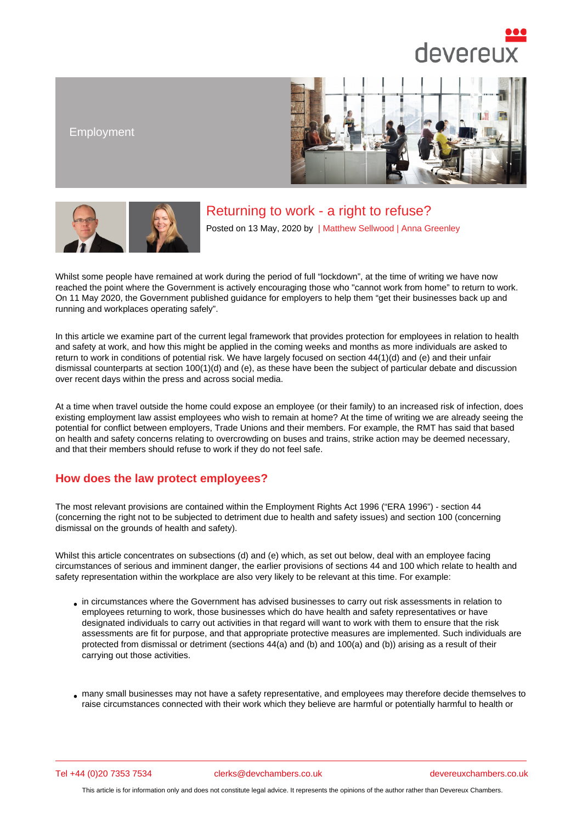### Employment

# Returning to work - a right to refuse?

Posted on 13 May, 2020 by | Matthew Sellwood | Anna Greenley

Whilst some people have remained at work during the period of full "[lockdown", at the ti](/barristers/profile/matthew-sellwood)m[e of writing we h](/barristers/profile/anna-greenley)ave now reached the point where the Government is actively encouraging those who "cannot work from home" to return to work. On 11 May 2020, the Government published guidance for employers to help them "get their businesses back up and running and workplaces operating safely".

In this article we examine part of the current legal framework that provides protection for employees in relation to health and safety at work, and how this might be applied in the coming weeks and months as more individuals are asked to return to work in conditions of potential risk. We have largely focused on section 44(1)(d) and (e) and their unfair dismissal counterparts at section 100(1)(d) and (e), as these have been the subject of particular debate and discussion over recent days within the press and across social media.

At a time when travel outside the home could expose an employee (or their family) to an increased risk of infection, does existing employment law assist employees who wish to remain at home? At the time of writing we are already seeing the potential for conflict between employers, Trade Unions and their members. For example, the RMT has said that based on health and safety concerns relating to overcrowding on buses and trains, strike action may be deemed necessary, and that their members should refuse to work if they do not feel safe.

### How does the law protect employees?

The most relevant provisions are contained within the Employment Rights Act 1996 ("ERA 1996") - section 44 (concerning the right not to be subjected to detriment due to health and safety issues) and section 100 (concerning dismissal on the grounds of health and safety).

Whilst this article concentrates on subsections (d) and (e) which, as set out below, deal with an employee facing circumstances of serious and imminent danger, the earlier provisions of sections 44 and 100 which relate to health and safety representation within the workplace are also very likely to be relevant at this time. For example:

- in circumstances where the Government has advised businesses to carry out risk assessments in relation to employees returning to work, those businesses which do have health and safety representatives or have designated individuals to carry out activities in that regard will want to work with them to ensure that the risk assessments are fit for purpose, and that appropriate protective measures are implemented. Such individuals are protected from dismissal or detriment (sections 44(a) and (b) and 100(a) and (b)) arising as a result of their carrying out those activities.
- many small businesses may not have a safety representative, and employees may therefore decide themselves to raise circumstances connected with their work which they believe are harmful or potentially harmful to health or

Tel +44 (0)20 7353 7534 clerks@devchambers.co.uk devereuxchambers.co.uk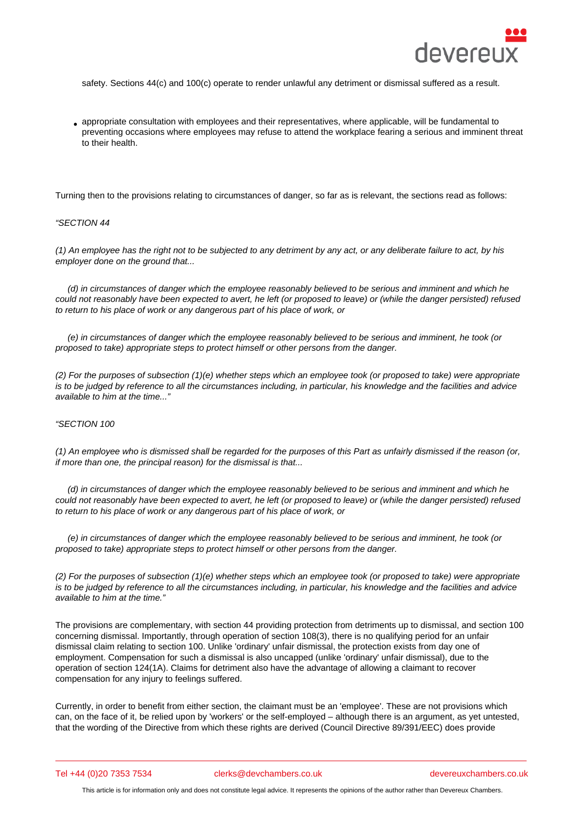appropriate consultation with employees and their representatives, where applicable, will be fundamental to preventing occasions where employees may refuse to attend the workplace fearing a serious and imminent threat to their health.

Turning then to the provisions relating to circumstances of danger, so far as is relevant, the sections read as follows:

#### "SECTION 44

(1) An employee has the right not to be subjected to any detriment by any act, or any deliberate failure to act, by his employer done on the ground that...

 (d) in circumstances of danger which the employee reasonably believed to be serious and imminent and which he could not reasonably have been expected to avert, he left (or proposed to leave) or (while the danger persisted) refused to return to his place of work or any dangerous part of his place of work, or

 (e) in circumstances of danger which the employee reasonably believed to be serious and imminent, he took (or proposed to take) appropriate steps to protect himself or other persons from the danger.

(2) For the purposes of subsection (1)(e) whether steps which an employee took (or proposed to take) were appropriate is to be judged by reference to all the circumstances including, in particular, his knowledge and the facilities and advice available to him at the time..."

#### "SECTION 100

(1) An employee who is dismissed shall be regarded for the purposes of this Part as unfairly dismissed if the reason (or, if more than one, the principal reason) for the dismissal is that...

 (d) in circumstances of danger which the employee reasonably believed to be serious and imminent and which he could not reasonably have been expected to avert, he left (or proposed to leave) or (while the danger persisted) refused to return to his place of work or any dangerous part of his place of work, or

 (e) in circumstances of danger which the employee reasonably believed to be serious and imminent, he took (or proposed to take) appropriate steps to protect himself or other persons from the danger.

(2) For the purposes of subsection (1)(e) whether steps which an employee took (or proposed to take) were appropriate is to be judged by reference to all the circumstances including, in particular, his knowledge and the facilities and advice available to him at the time."

The provisions are complementary, with section 44 providing protection from detriments up to dismissal, and section 100 concerning dismissal. Importantly, through operation of section 108(3), there is no qualifying period for an unfair dismissal claim relating to section 100. Unlike 'ordinary' unfair dismissal, the protection exists from day one of employment. Compensation for such a dismissal is also uncapped (unlike 'ordinary' unfair dismissal), due to the operation of section 124(1A). Claims for detriment also have the advantage of allowing a claimant to recover compensation for any injury to feelings suffered.

Currently, in order to benefit from either section, the claimant must be an 'employee'. These are not provisions which can, on the face of it, be relied upon by 'workers' or the self-employed – although there is an argument, as yet untested, that the wording of the Directive from which these rights are derived (Council Directive 89/391/EEC) does provide

Tel +44 (0)20 7353 7534 clerks@devchambers.co.uk devereuxchambers.co.uk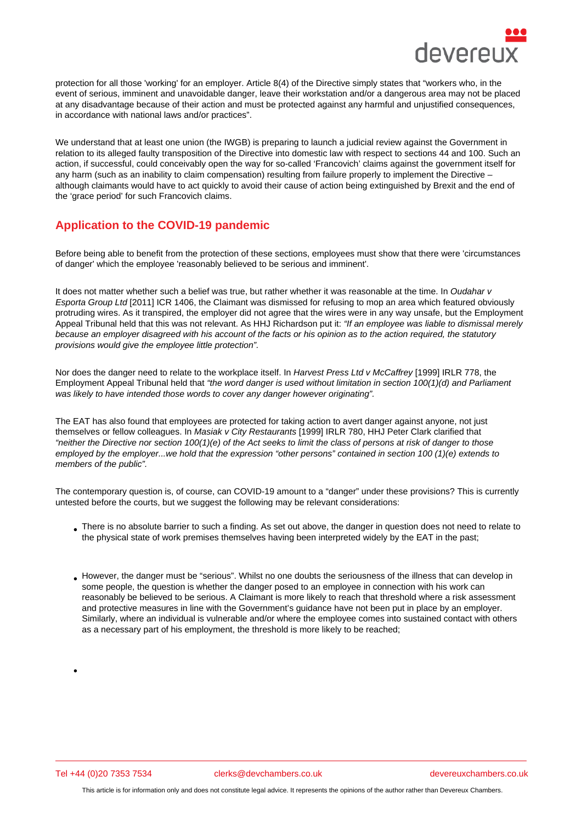protection for all those 'working' for an employer. Article 8(4) of the Directive simply states that "workers who, in the event of serious, imminent and unavoidable danger, leave their workstation and/or a dangerous area may not be placed at any disadvantage because of their action and must be protected against any harmful and unjustified consequences, in accordance with national laws and/or practices".

We understand that at least one union (the IWGB) is preparing to launch a judicial review against the Government in relation to its alleged faulty transposition of the Directive into domestic law with respect to sections 44 and 100. Such an action, if successful, could conceivably open the way for so-called 'Francovich' claims against the government itself for any harm (such as an inability to claim compensation) resulting from failure properly to implement the Directive – although claimants would have to act quickly to avoid their cause of action being extinguished by Brexit and the end of the 'grace period' for such Francovich claims.

# Application to the COVID-19 pandemic

Before being able to benefit from the protection of these sections, employees must show that there were 'circumstances of danger' which the employee 'reasonably believed to be serious and imminent'.

It does not matter whether such a belief was true, but rather whether it was reasonable at the time. In Oudahar v Esporta Group Ltd [2011] ICR 1406, the Claimant was dismissed for refusing to mop an area which featured obviously protruding wires. As it transpired, the employer did not agree that the wires were in any way unsafe, but the Employment Appeal Tribunal held that this was not relevant. As HHJ Richardson put it: "If an employee was liable to dismissal merely because an employer disagreed with his account of the facts or his opinion as to the action required, the statutory provisions would give the employee little protection".

Nor does the danger need to relate to the workplace itself. In Harvest Press Ltd v McCaffrey [1999] IRLR 778, the Employment Appeal Tribunal held that "the word danger is used without limitation in section 100(1)(d) and Parliament was likely to have intended those words to cover any danger however originating".

The EAT has also found that employees are protected for taking action to avert danger against anyone, not just themselves or fellow colleagues. In Masiak v City Restaurants [1999] IRLR 780, HHJ Peter Clark clarified that "neither the Directive nor section 100(1)(e) of the Act seeks to limit the class of persons at risk of danger to those employed by the employer...we hold that the expression "other persons" contained in section 100 (1)(e) extends to members of the public".

The contemporary question is, of course, can COVID-19 amount to a "danger" under these provisions? This is currently untested before the courts, but we suggest the following may be relevant considerations:

- There is no absolute barrier to such a finding. As set out above, the danger in question does not need to relate to the physical state of work premises themselves having been interpreted widely by the EAT in the past;
- However, the danger must be "serious". Whilst no one doubts the seriousness of the illness that can develop in some people, the question is whether the danger posed to an employee in connection with his work can reasonably be believed to be serious. A Claimant is more likely to reach that threshold where a risk assessment and protective measures in line with the Government's guidance have not been put in place by an employer. Similarly, where an individual is vulnerable and/or where the employee comes into sustained contact with others as a necessary part of his employment, the threshold is more likely to be reached;

Tel +44 (0)20 7353 7534 clerks@devchambers.co.uk devereuxchambers.co.uk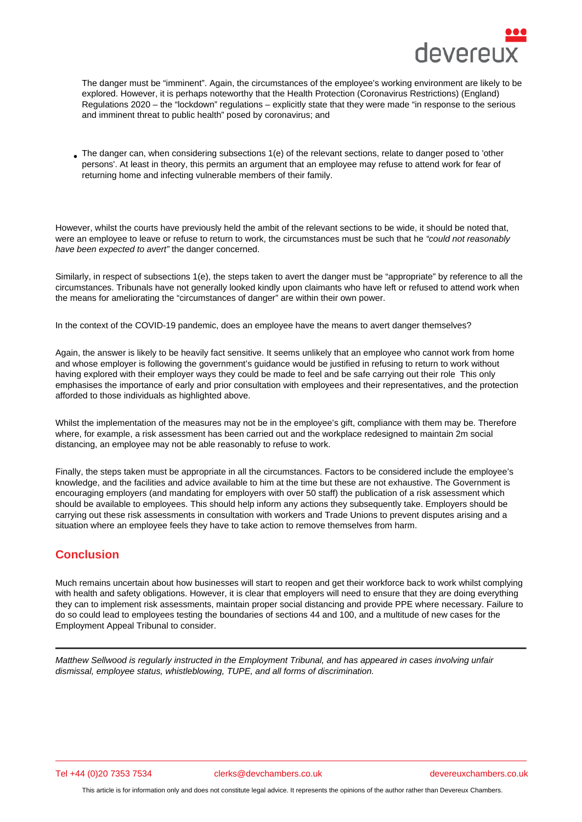The danger must be "imminent". Again, the circumstances of the employee's working environment are likely to be explored. However, it is perhaps noteworthy that the Health Protection (Coronavirus Restrictions) (England) Regulations 2020 – the "lockdown" regulations – explicitly state that they were made "in response to the serious and imminent threat to public health" posed by coronavirus; and

The danger can, when considering subsections 1(e) of the relevant sections, relate to danger posed to 'other persons'. At least in theory, this permits an argument that an employee may refuse to attend work for fear of returning home and infecting vulnerable members of their family.

However, whilst the courts have previously held the ambit of the relevant sections to be wide, it should be noted that, were an employee to leave or refuse to return to work, the circumstances must be such that he "could not reasonably have been expected to avert" the danger concerned.

Similarly, in respect of subsections 1(e), the steps taken to avert the danger must be "appropriate" by reference to all the circumstances. Tribunals have not generally looked kindly upon claimants who have left or refused to attend work when the means for ameliorating the "circumstances of danger" are within their own power.

In the context of the COVID-19 pandemic, does an employee have the means to avert danger themselves?

Again, the answer is likely to be heavily fact sensitive. It seems unlikely that an employee who cannot work from home and whose employer is following the government's guidance would be justified in refusing to return to work without having explored with their employer ways they could be made to feel and be safe carrying out their role This only emphasises the importance of early and prior consultation with employees and their representatives, and the protection afforded to those individuals as highlighted above.

Whilst the implementation of the measures may not be in the employee's gift, compliance with them may be. Therefore where, for example, a risk assessment has been carried out and the workplace redesigned to maintain 2m social distancing, an employee may not be able reasonably to refuse to work.

Finally, the steps taken must be appropriate in all the circumstances. Factors to be considered include the employee's knowledge, and the facilities and advice available to him at the time but these are not exhaustive. The Government is encouraging employers (and mandating for employers with over 50 staff) the publication of a risk assessment which should be available to employees. This should help inform any actions they subsequently take. Employers should be carrying out these risk assessments in consultation with workers and Trade Unions to prevent disputes arising and a situation where an employee feels they have to take action to remove themselves from harm.

## **Conclusion**

Much remains uncertain about how businesses will start to reopen and get their workforce back to work whilst complying with health and safety obligations. However, it is clear that employers will need to ensure that they are doing everything they can to implement risk assessments, maintain proper social distancing and provide PPE where necessary. Failure to do so could lead to employees testing the boundaries of sections 44 and 100, and a multitude of new cases for the Employment Appeal Tribunal to consider.

Matthew Sellwood is regularly instructed in the Employment Tribunal, and has appeared in cases involving unfair dismissal, employee status, whistleblowing, TUPE, and all forms of discrimination.

Tel +44 (0)20 7353 7534 clerks@devchambers.co.uk devereuxchambers.co.uk